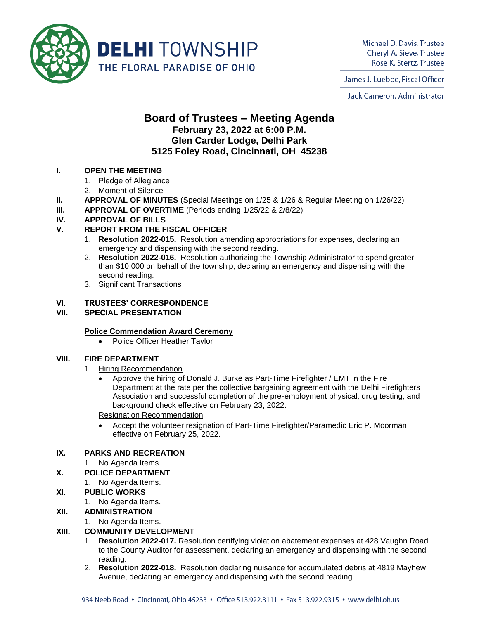

Michael D. Davis, Trustee Cheryl A. Sieve, Trustee Rose K. Stertz, Trustee

James J. Luebbe, Fiscal Officer

Jack Cameron, Administrator

# **Board of Trustees – Meeting Agenda February 23, 2022 at 6:00 P.M. Glen Carder Lodge, Delhi Park 5125 Foley Road, Cincinnati, OH 45238**

### **I. OPEN THE MEETING**

- 1. Pledge of Allegiance
- 2. Moment of Silence
- **II. APPROVAL OF MINUTES** (Special Meetings on 1/25 & 1/26 & Regular Meeting on 1/26/22)
- **III. APPROVAL OF OVERTIME** (Periods ending 1/25/22 & 2/8/22)

### **IV. APPROVAL OF BILLS**

### **V. REPORT FROM THE FISCAL OFFICER**

- 1. **Resolution 2022-015.** Resolution amending appropriations for expenses, declaring an emergency and dispensing with the second reading.
- 2. **Resolution 2022-016.** Resolution authorizing the Township Administrator to spend greater than \$10,000 on behalf of the township, declaring an emergency and dispensing with the second reading.
- 3. Significant Transactions

### **VI. TRUSTEES' CORRESPONDENCE**

### **VII. SPECIAL PRESENTATION**

#### **Police Commendation Award Ceremony**

• Police Officer Heather Taylor

#### **VIII. FIRE DEPARTMENT**

- 1. Hiring Recommendation
	- Approve the hiring of Donald J. Burke as Part-Time Firefighter / EMT in the Fire Department at the rate per the collective bargaining agreement with the Delhi Firefighters Association and successful completion of the pre-employment physical, drug testing, and background check effective on February 23, 2022.

Resignation Recommendation

• Accept the volunteer resignation of Part-Time Firefighter/Paramedic Eric P. Moorman effective on February 25, 2022.

### **IX. PARKS AND RECREATION**

1. No Agenda Items.

## **X. POLICE DEPARTMENT**

1. No Agenda Items.

## **XI. PUBLIC WORKS**

- 1. No Agenda Items.
- **XII. ADMINISTRATION**
	- 1. No Agenda Items.

## **XIII. COMMUNITY DEVELOPMENT**

- 1. **Resolution 2022-017.** Resolution certifying violation abatement expenses at 428 Vaughn Road to the County Auditor for assessment, declaring an emergency and dispensing with the second reading.
- 2. **Resolution 2022-018.** Resolution declaring nuisance for accumulated debris at 4819 Mayhew Avenue, declaring an emergency and dispensing with the second reading.